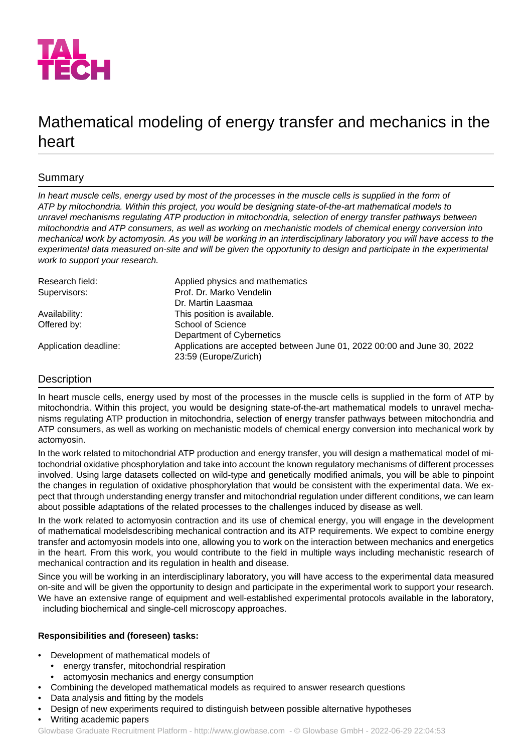

# Mathematical modeling of energy transfer and mechanics in the heart

# Summary

*In heart muscle cells, energy used by most of the processes in the muscle cells is supplied in the form of ATP by mitochondria. Within this project, you would be designing state-of-the-art mathematical models to unravel mechanisms regulating ATP production in mitochondria, selection of energy transfer pathways between mitochondria and ATP consumers, as well as working on mechanistic models of chemical energy conversion into mechanical work by actomyosin. As you will be working in an interdisciplinary laboratory you will have access to the experimental data measured on-site and will be given the opportunity to design and participate in the experimental work to support your research.*

| Research field:       | Applied physics and mathematics                                                                  |
|-----------------------|--------------------------------------------------------------------------------------------------|
| Supervisors:          | Prof. Dr. Marko Vendelin                                                                         |
|                       | Dr. Martin Laasmaa                                                                               |
| Availability:         | This position is available.                                                                      |
| Offered by:           | School of Science                                                                                |
|                       | Department of Cybernetics                                                                        |
| Application deadline: | Applications are accepted between June 01, 2022 00:00 and June 30, 2022<br>23:59 (Europe/Zurich) |

# Description

In heart muscle cells, energy used by most of the processes in the muscle cells is supplied in the form of ATP by mitochondria. Within this project, you would be designing state-of-the-art mathematical models to unravel mechanisms regulating ATP production in mitochondria, selection of energy transfer pathways between mitochondria and ATP consumers, as well as working on mechanistic models of chemical energy conversion into mechanical work by actomyosin.

In the work related to mitochondrial ATP production and energy transfer, you will design a mathematical model of mitochondrial oxidative phosphorylation and take into account the known regulatory mechanisms of different processes involved. Using large datasets collected on wild-type and genetically modified animals, you will be able to pinpoint the changes in regulation of oxidative phosphorylation that would be consistent with the experimental data. We expect that through understanding energy transfer and mitochondrial regulation under different conditions, we can learn about possible adaptations of the related processes to the challenges induced by disease as well.

In the work related to actomyosin contraction and its use of chemical energy, you will engage in the development of mathematical modelsdescribing mechanical contraction and its ATP requirements. We expect to combine energy transfer and actomyosin models into one, allowing you to work on the interaction between mechanics and energetics in the heart. From this work, you would contribute to the field in multiple ways including mechanistic research of mechanical contraction and its regulation in health and disease.

Since you will be working in an interdisciplinary laboratory, you will have access to the experimental data measured on-site and will be given the opportunity to design and participate in the experimental work to support your research. We have an extensive range of equipment and well-established experimental protocols available in the laboratory, including biochemical and single-cell microscopy approaches.

# **Responsibilities and (foreseen) tasks:**

- Development of mathematical models of
	- energy transfer, mitochondrial respiration
	- actomyosin mechanics and energy consumption
- Combining the developed mathematical models as required to answer research questions
- Data analysis and fitting by the models
- Design of new experiments required to distinguish between possible alternative hypotheses
- Writing academic papers

Glowbase Graduate Recruitment Platform -<http://www.glowbase.com> - © Glowbase GmbH - 2022-06-29 22:04:53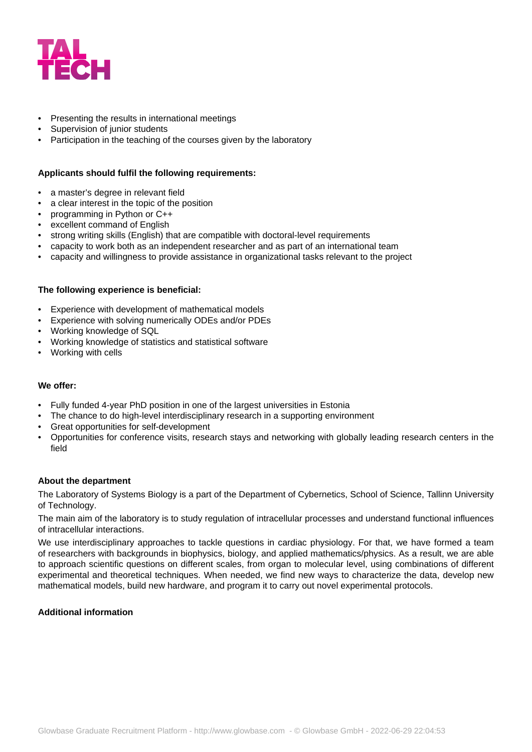

# Presenting the results in international meetings

- Supervision of junior students
- Participation in the teaching of the courses given by the laboratory

#### **Applicants should fulfil the following requirements:**

- a master's degree in relevant field
- a clear interest in the topic of the position
- programming in Python or C++
- excellent command of English
- strong writing skills (English) that are compatible with doctoral-level requirements
- capacity to work both as an independent researcher and as part of an international team
- capacity and willingness to provide assistance in organizational tasks relevant to the project

## **The following experience is beneficial:**

- Experience with development of mathematical models
- Experience with solving numerically ODEs and/or PDEs
- Working knowledge of SQL
- Working knowledge of statistics and statistical software
- Working with cells

## **We offer:**

- Fully funded 4-year PhD position in one of the largest universities in Estonia
- The chance to do high-level interdisciplinary research in a supporting environment
- Great opportunities for self-development
- Opportunities for conference visits, research stays and networking with globally leading research centers in the field

#### **About the department**

The Laboratory of Systems Biology is a part of the Department of Cybernetics, School of Science, Tallinn University of Technology.

The main aim of the laboratory is to study regulation of intracellular processes and understand functional influences of intracellular interactions.

We use interdisciplinary approaches to tackle questions in cardiac physiology. For that, we have formed a team of researchers with backgrounds in biophysics, biology, and applied mathematics/physics. As a result, we are able to approach scientific questions on different scales, from organ to molecular level, using combinations of different experimental and theoretical techniques. When needed, we find new ways to characterize the data, develop new mathematical models, build new hardware, and program it to carry out novel experimental protocols.

## **Additional information**